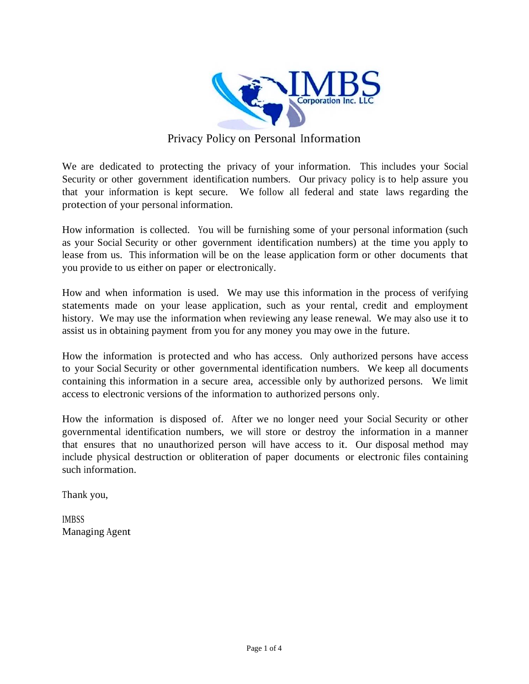

## Privacy Policy on Personal Information

We are dedicated to protecting the privacy of your information. This includes your Social Security or other government identification numbers. Our privacy policy is to help assure you that your information is kept secure. We follow all federal and state laws regarding the protection of your personal information.

How information is collected. You will be furnishing some of your personal information (such as your Social Security or other government identification numbers) at the time you apply to lease from us. This information will be on the lease application form or other documents that you provide to us either on paper or electronically.

How and when information is used. We may use this information in the process of verifying statements made on your lease application, such as your rental, credit and employment history. We may use the information when reviewing any lease renewal. We may also use it to assist us in obtaining payment from you for any money you may owe in the future.

How the information is protected and who has access. Only authorized persons have access to your Social Security or other governmental identification numbers. We keep all documents containing this information in a secure area, accessible only by authorized persons. We limit access to electronic versions of the information to authorized persons only.

How the information is disposed of. After we no longer need your Social Security or other governmental identification numbers, we will store or destroy the information in a manner that ensures that no unauthorized person will have access to it. Our disposal method may include physical destruction or obliteration of paper documents or electronic files containing such information.

Thank you,

**IMBSS** Managing Agent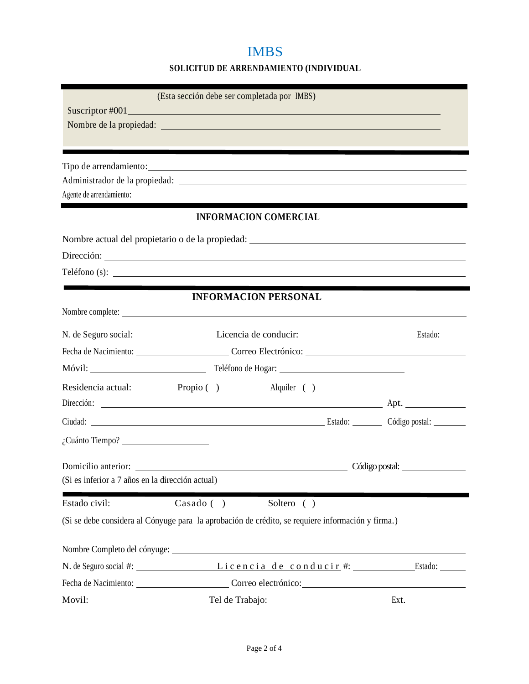## IMBS

#### **SOLICITUD DE ARRENDAMIENTO (INDIVIDUAL**

|                                                                                                                                                                                                                                | (Esta sección debe ser completada por IMBS) |                |
|--------------------------------------------------------------------------------------------------------------------------------------------------------------------------------------------------------------------------------|---------------------------------------------|----------------|
|                                                                                                                                                                                                                                |                                             |                |
| Nombre de la propiedad: La contrattura del contrattura del contrattu del contrattu del contrattu del contrattu                                                                                                                 |                                             |                |
|                                                                                                                                                                                                                                |                                             |                |
| Tipo de arrendamiento:                                                                                                                                                                                                         |                                             |                |
|                                                                                                                                                                                                                                |                                             |                |
|                                                                                                                                                                                                                                |                                             |                |
|                                                                                                                                                                                                                                | <b>INFORMACION COMERCIAL</b>                |                |
|                                                                                                                                                                                                                                |                                             |                |
|                                                                                                                                                                                                                                |                                             |                |
| $\text{Teléfono}(s):$                                                                                                                                                                                                          |                                             |                |
|                                                                                                                                                                                                                                |                                             |                |
|                                                                                                                                                                                                                                | <b>INFORMACION PERSONAL</b>                 |                |
| N. de Seguro social: Licencia de conducir: Licencia de conducire Licencia de conducire Licencia de conducire Licencia de conducire Licencia de conducire Licencia de conducire Licencia de conducire Licencia de conducire Lic |                                             |                |
| Fecha de Nacimiento: Correo Electrónico: Correo Electrónico en alguna de Nacimiento en alguna de Nacimiento en alguna de Santo en alguna de Nacimiento en alguna de Santo en alguna de Santo en alguna de Santo en alguna de S |                                             |                |
|                                                                                                                                                                                                                                |                                             |                |
| Residencia actual:                                                                                                                                                                                                             | Alquiler ()<br>Propio $($ )                 |                |
|                                                                                                                                                                                                                                |                                             |                |
| Ciudad: Ciudad: Código postal: Código postal:                                                                                                                                                                                  |                                             |                |
|                                                                                                                                                                                                                                |                                             |                |
|                                                                                                                                                                                                                                |                                             |                |
| Domicilio anterior:<br>(Si es inferior a 7 años en la dirección actual)                                                                                                                                                        |                                             | Código postal: |
|                                                                                                                                                                                                                                |                                             |                |
| Estado civil:<br>$\text{Casado}(\ )$                                                                                                                                                                                           | Soltero ()                                  |                |
| (Si se debe considera al Cónyuge para la aprobación de crédito, se requiere información y firma.)                                                                                                                              |                                             |                |
|                                                                                                                                                                                                                                |                                             |                |
| N. de Seguro social #: Licencia de conducir #: Estado: ____                                                                                                                                                                    |                                             |                |
| Fecha de Nacimiento: Correo electrónico: Correo electrónico en antes de Nacimiento en antes de Nacimiento en antes de Nacimiento en antes de Nacimiento en antes de Nacimiento en antes de Nacimiento en antes de Nacimiento e |                                             |                |
| Movil:                                                                                                                                                                                                                         |                                             |                |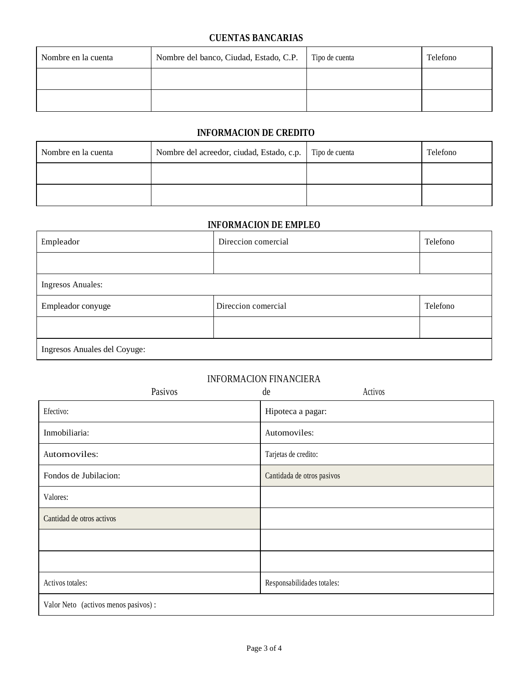#### **CUENTAS BANCARIAS**

| Nombre en la cuenta | Nombre del banco, Ciudad, Estado, C.P. | Tipo de cuenta | Telefono |
|---------------------|----------------------------------------|----------------|----------|
|                     |                                        |                |          |
|                     |                                        |                |          |

#### **INFORMACION DE CREDITO**

| Nombre en la cuenta | Nombre del acreedor, ciudad, Estado, c.p.   Tipo de cuenta | Telefono |
|---------------------|------------------------------------------------------------|----------|
|                     |                                                            |          |
|                     |                                                            |          |

#### **INFORMACION DE EMPLEO**

| Empleador                    | Direccion comercial | Telefono |
|------------------------------|---------------------|----------|
|                              |                     |          |
| <b>Ingresos Anuales:</b>     |                     |          |
| Empleador conyuge            | Direccion comercial | Telefono |
|                              |                     |          |
| Ingresos Anuales del Coyuge: |                     |          |

#### INFORMACION FINANCIERA

| Pasivos                             | Activos<br>de              |
|-------------------------------------|----------------------------|
| Efectivo:                           | Hipoteca a pagar:          |
| Inmobiliaria:                       | Automoviles:               |
| Automoviles:                        | Tarjetas de credito:       |
| Fondos de Jubilacion:               | Cantidada de otros pasivos |
| Valores:                            |                            |
| Cantidad de otros activos           |                            |
|                                     |                            |
|                                     |                            |
| Activos totales:                    | Responsabilidades totales: |
| Valor Neto (activos menos pasivos): |                            |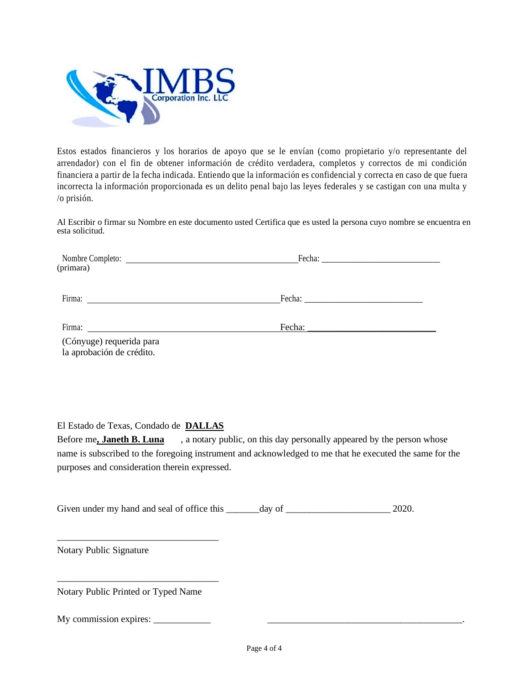

Estos estados financieros y los horarios de apoyo que se le envían (como propietario y/o representante del arrendador) con el fin de obtener información de crédito verdadera, completos y correctos de mi condición financiera a partir de la fecha indicada. Entiendo que la información es confidencial y correcta en caso de que fuera incorrecta la información proporcionada es un delito penal bajo las leyes federales y se castigan con una multa y /o prisión.

Al Escribir o firmar su Nombre en este documento usted Certifica que es usted la persona cuyo nombre se encuentra en esta solicitud.

| (primara)                |        |  |
|--------------------------|--------|--|
|                          |        |  |
| Firma:                   |        |  |
|                          |        |  |
| Firma:                   | Fecha: |  |
| (Cónyuge) requerida para |        |  |

la aprobación de crédito.

El Estado de Texas, Condado de **DALLAS**

Before me**, Janeth B. Luna** , a notary public, on this day personally appeared by the person whose name is subscribed to the foregoing instrument and acknowledged to me that he executed the same for the purposes and consideration therein expressed.

Given under my hand and seal of office this \_\_\_\_\_\_\_day of \_\_\_\_\_\_\_\_\_\_\_\_\_\_\_\_\_\_\_\_\_\_ 2020.

Notary Public Signature

Notary Public Printed or Typed Name

\_\_\_\_\_\_\_\_\_\_\_\_\_\_\_\_\_\_\_\_\_\_\_\_\_\_\_\_\_\_\_\_\_\_

\_\_\_\_\_\_\_\_\_\_\_\_\_\_\_\_\_\_\_\_\_\_\_\_\_\_\_\_\_\_\_\_\_\_

My commission expires: \_\_\_\_\_\_\_\_\_\_\_\_ \_\_\_\_\_\_\_\_\_\_\_\_\_\_\_\_\_\_\_\_\_\_\_\_\_\_\_\_\_\_\_\_\_\_\_\_\_\_\_\_\_.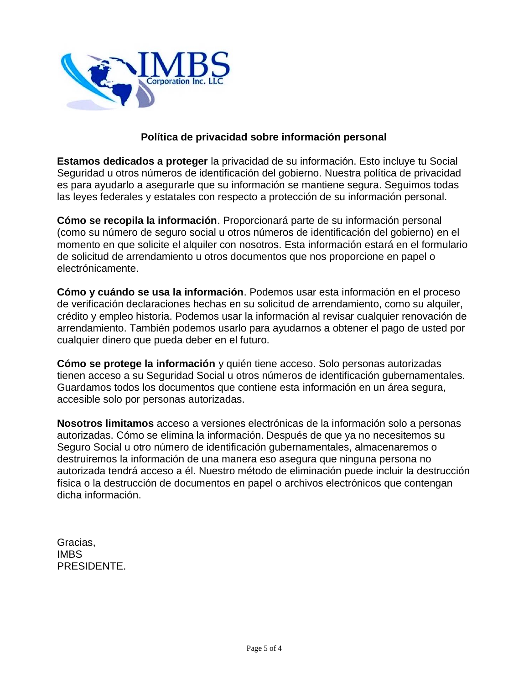

#### **Política de privacidad sobre información personal**

**Estamos dedicados a proteger** la privacidad de su información. Esto incluye tu Social Seguridad u otros números de identificación del gobierno. Nuestra política de privacidad es para ayudarlo a asegurarle que su información se mantiene segura. Seguimos todas las leyes federales y estatales con respecto a protección de su información personal.

**Cómo se recopila la información**. Proporcionará parte de su información personal (como su número de seguro social u otros números de identificación del gobierno) en el momento en que solicite el alquiler con nosotros. Esta información estará en el formulario de solicitud de arrendamiento u otros documentos que nos proporcione en papel o electrónicamente.

**Cómo y cuándo se usa la información**. Podemos usar esta información en el proceso de verificación declaraciones hechas en su solicitud de arrendamiento, como su alquiler, crédito y empleo historia. Podemos usar la información al revisar cualquier renovación de arrendamiento. También podemos usarlo para ayudarnos a obtener el pago de usted por cualquier dinero que pueda deber en el futuro.

**Cómo se protege la información** y quién tiene acceso. Solo personas autorizadas tienen acceso a su Seguridad Social u otros números de identificación gubernamentales. Guardamos todos los documentos que contiene esta información en un área segura, accesible solo por personas autorizadas.

**Nosotros limitamos** acceso a versiones electrónicas de la información solo a personas autorizadas. Cómo se elimina la información. Después de que ya no necesitemos su Seguro Social u otro número de identificación gubernamentales, almacenaremos o destruiremos la información de una manera eso asegura que ninguna persona no autorizada tendrá acceso a él. Nuestro método de eliminación puede incluir la destrucción física o la destrucción de documentos en papel o archivos electrónicos que contengan dicha información.

Gracias, IMBS PRESIDENTE.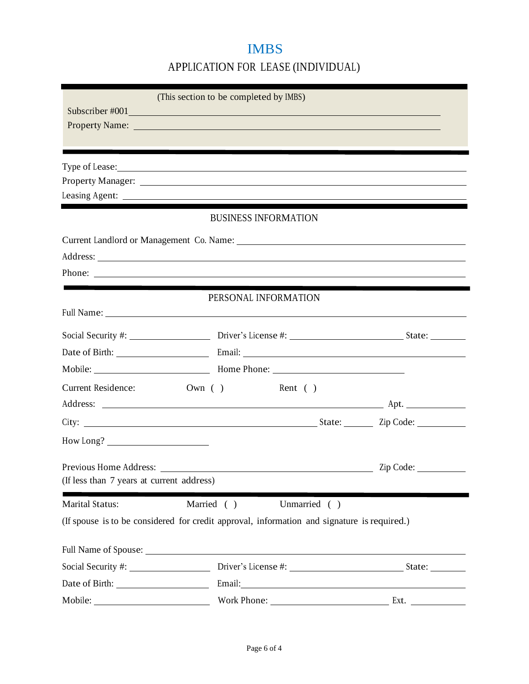# IMBS

APPLICATION FOR LEASE (INDIVIDUAL)

|                                           | (This section to be completed by IMBS)                                                                                                                                                                                         |           |
|-------------------------------------------|--------------------------------------------------------------------------------------------------------------------------------------------------------------------------------------------------------------------------------|-----------|
|                                           | Subscriber #001                                                                                                                                                                                                                |           |
|                                           |                                                                                                                                                                                                                                |           |
|                                           | Type of Lease:                                                                                                                                                                                                                 |           |
|                                           |                                                                                                                                                                                                                                |           |
|                                           |                                                                                                                                                                                                                                |           |
|                                           | <b>BUSINESS INFORMATION</b>                                                                                                                                                                                                    |           |
|                                           |                                                                                                                                                                                                                                |           |
|                                           |                                                                                                                                                                                                                                |           |
|                                           |                                                                                                                                                                                                                                |           |
|                                           |                                                                                                                                                                                                                                |           |
|                                           | PERSONAL INFORMATION                                                                                                                                                                                                           |           |
|                                           |                                                                                                                                                                                                                                |           |
|                                           |                                                                                                                                                                                                                                |           |
|                                           | Mobile: Mobile: Mobile: Mobile: Mobile: Mobile: Mobile: Mobile: Mobile: Mobile: Mobile: Mobile: Mobile: Mobile: Mobile: Mobile: Mobile: Mobile: Mobile: Mobile: Mobile: Mobile: Mobile: Mobile: Mobile: Mobile: Mobile: Mobile |           |
| <b>Current Residence:</b>                 | $\text{Own}$ ( )<br>Rent $( )$                                                                                                                                                                                                 |           |
|                                           |                                                                                                                                                                                                                                |           |
|                                           |                                                                                                                                                                                                                                |           |
|                                           |                                                                                                                                                                                                                                |           |
| Previous Home Address:                    |                                                                                                                                                                                                                                | Zip Code: |
| (If less than 7 years at current address) |                                                                                                                                                                                                                                |           |
| Marital Status:                           | Married ()<br>Unmarried ()                                                                                                                                                                                                     |           |
|                                           | (If spouse is to be considered for credit approval, information and signature is required.)                                                                                                                                    |           |
|                                           |                                                                                                                                                                                                                                |           |
|                                           |                                                                                                                                                                                                                                |           |
|                                           |                                                                                                                                                                                                                                |           |
|                                           |                                                                                                                                                                                                                                |           |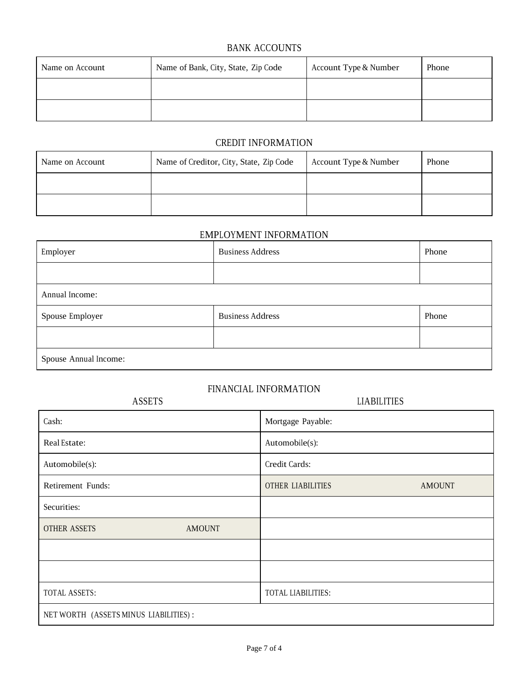#### BANK ACCOUNTS

| Name on Account | Name of Bank, City, State, Zip Code | Account Type & Number | Phone |
|-----------------|-------------------------------------|-----------------------|-------|
|                 |                                     |                       |       |
|                 |                                     |                       |       |

#### CREDIT INFORMATION

| Name on Account | Name of Creditor, City, State, Zip Code | Account Type & Number | Phone |
|-----------------|-----------------------------------------|-----------------------|-------|
|                 |                                         |                       |       |
|                 |                                         |                       |       |

## EMPLOYMENT INFORMATION

| Employer              | <b>Business Address</b> | Phone |
|-----------------------|-------------------------|-------|
|                       |                         |       |
| Annual Income:        |                         |       |
| Spouse Employer       | <b>Business Address</b> | Phone |
|                       |                         |       |
| Spouse Annual Income: |                         |       |

### FINANCIAL INFORMATION

| <b>ASSETS</b>                         | <b>LIABILITIES</b>                        |
|---------------------------------------|-------------------------------------------|
| Cash:                                 | Mortgage Payable:                         |
| Real Estate:                          | Automobile(s):                            |
| Automobile(s):                        | Credit Cards:                             |
| Retirement Funds:                     | <b>OTHER LIABILITIES</b><br><b>AMOUNT</b> |
| Securities:                           |                                           |
| <b>OTHER ASSETS</b><br><b>AMOUNT</b>  |                                           |
|                                       |                                           |
|                                       |                                           |
| TOTAL ASSETS:                         | TOTAL LIABILITIES:                        |
| NET WORTH (ASSETS MINUS LIABILITIES): |                                           |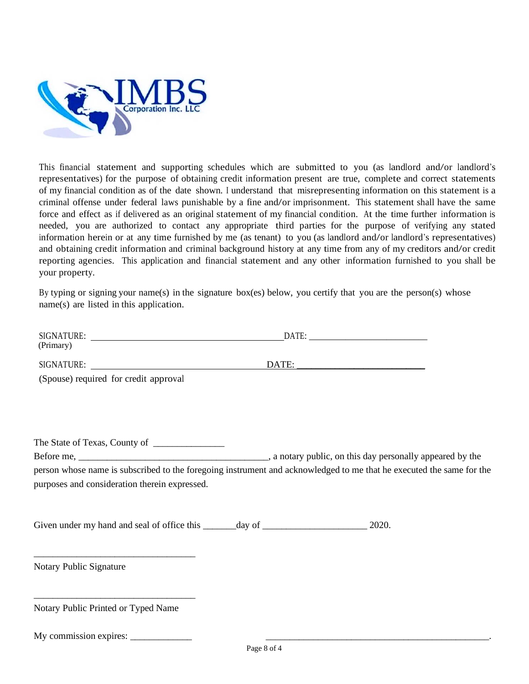

This financial statement and supporting schedules which are submitted to you (as landlord and/or landlord's representatives) for the purpose of obtaining credit information present are true, complete and correct statements of my financial condition as of the date shown. <sup>I</sup> understand that misrepresenting information on this statement is a criminal offense under federal laws punishable by a fine and/or imprisonment. This statement shall have the same force and effect as if delivered as an original statement of my financial condition. At the time further information is needed, you are authorized to contact any appropriate third parties for the purpose of verifying any stated information herein or at any time furnished by me (as tenant) to you (as landlord and/or landlord's representatives) and obtaining credit information and criminal background history at any time from any of my creditors and/or credit reporting agencies. This application and financial statement and any other information furnished to you shall be your property.

By typing or signing your name(s) in the signature box(es) below, you certify that you are the person(s) whose name(s) are listed in this application.

| (Primary)                                                                        |                                                                                                                      |
|----------------------------------------------------------------------------------|----------------------------------------------------------------------------------------------------------------------|
|                                                                                  |                                                                                                                      |
| (Spouse) required for credit approval                                            |                                                                                                                      |
|                                                                                  |                                                                                                                      |
|                                                                                  |                                                                                                                      |
| The State of Texas, County of ________________                                   |                                                                                                                      |
|                                                                                  |                                                                                                                      |
|                                                                                  | person whose name is subscribed to the foregoing instrument and acknowledged to me that he executed the same for the |
| purposes and consideration therein expressed.                                    |                                                                                                                      |
|                                                                                  |                                                                                                                      |
| Given under my hand and seal of office this _______ day of _____________________ | 2020.                                                                                                                |
|                                                                                  |                                                                                                                      |
| Notary Public Signature                                                          |                                                                                                                      |
|                                                                                  |                                                                                                                      |
| Notary Public Printed or Typed Name                                              |                                                                                                                      |
|                                                                                  |                                                                                                                      |